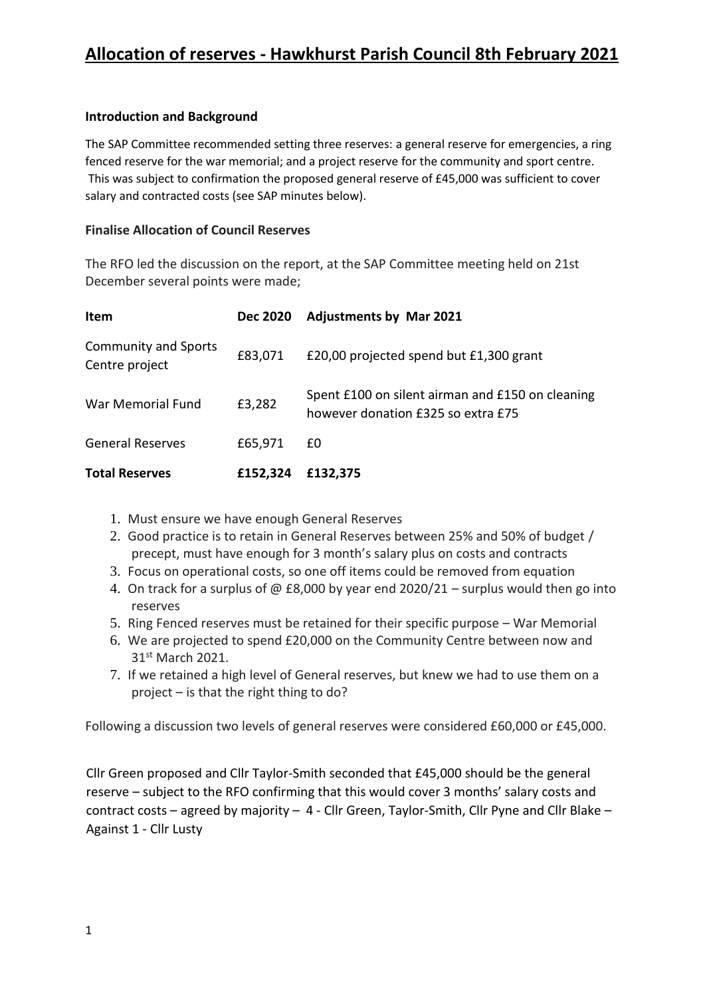## **Introduction and Background**

The SAP Committee recommended setting three reserves: a general reserve for emergencies, a ring fenced reserve for the war memorial; and a project reserve for the community and sport centre. This was subject to confirmation the proposed general reserve of £45,000 was sufficient to cover salary and contracted costs (see SAP minutes below).

## **Finalise Allocation of Council Reserves**

The RFO led the discussion on the report, at the SAP Committee meeting held on 21st December several points were made;

| <b>Item</b>                                   | <b>Dec 2020</b> | <b>Adjustments by Mar 2021</b>                                                         |
|-----------------------------------------------|-----------------|----------------------------------------------------------------------------------------|
| <b>Community and Sports</b><br>Centre project | £83,071         | £20,00 projected spend but £1,300 grant                                                |
| War Memorial Fund                             | £3,282          | Spent £100 on silent airman and £150 on cleaning<br>however donation £325 so extra £75 |
| <b>General Reserves</b>                       | £65,971         | £0                                                                                     |
| <b>Total Reserves</b>                         | £152,324        | £132,375                                                                               |

- 1. Must ensure we have enough General Reserves
- 2. Good practice is to retain in General Reserves between 25% and 50% of budget / precept, must have enough for 3 month's salary plus on costs and contracts
- 3. Focus on operational costs, so one off items could be removed from equation
- 4. On track for a surplus of @ £8,000 by year end 2020/21 surplus would then go into reserves
- 5. Ring Fenced reserves must be retained for their specific purpose War Memorial
- 6. We are projected to spend £20,000 on the Community Centre between now and 31<sup>st</sup> March 2021.
- 7. If we retained a high level of General reserves, but knew we had to use them on a project – is that the right thing to do?

Following a discussion two levels of general reserves were considered £60,000 or £45,000.

Cllr Green proposed and Cllr Taylor-Smith seconded that £45,000 should be the general reserve – subject to the RFO confirming that this would cover 3 months' salary costs and contract costs – agreed by majority – 4 - Cllr Green, Taylor-Smith, Cllr Pyne and Cllr Blake – Against 1 - Cllr Lusty